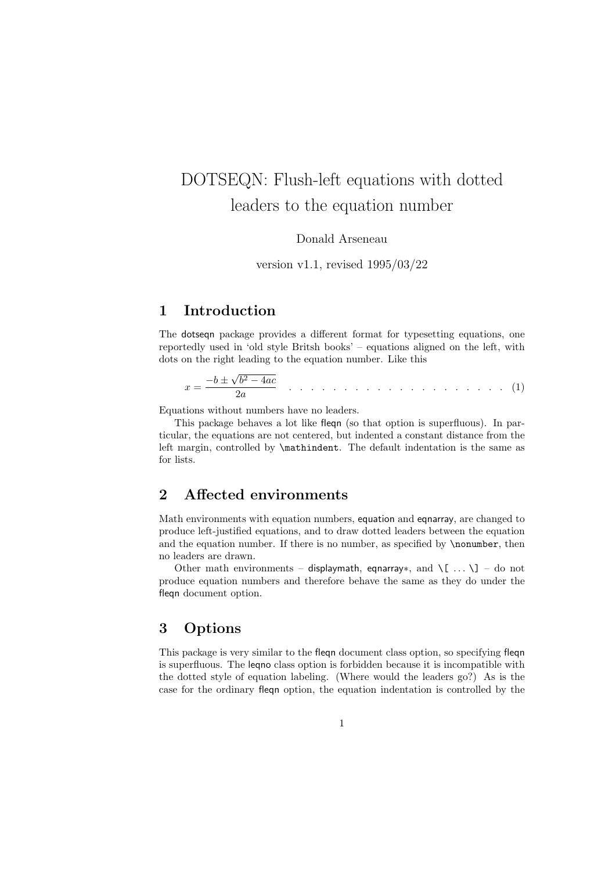# DOTSEQN: Flush-left equations with dotted leaders to the equation number

Donald Arseneau

version v1.1, revised 1995/03/22

## 1 Introduction

The dotseqn package provides a different format for typesetting equations, one reportedly used in 'old style Britsh books' – equations aligned on the left, with dots on the right leading to the equation number. Like this

$$
x = \frac{-b \pm \sqrt{b^2 - 4ac}}{2a} \qquad \dots \qquad \dots \qquad \dots \qquad \dots \qquad \dots \qquad (1)
$$

Equations without numbers have no leaders.

This package behaves a lot like fleqn (so that option is superfluous). In particular, the equations are not centered, but indented a constant distance from the left margin, controlled by \mathindent. The default indentation is the same as for lists.

### 2 Affected environments

Math environments with equation numbers, equation and eqnarray, are changed to produce left-justified equations, and to draw dotted leaders between the equation and the equation number. If there is no number, as specified by **\nonumber**, then no leaders are drawn.

Other math environments – displaymath, eqnarray∗, and  $\{ \ldots \}$ ] – do not produce equation numbers and therefore behave the same as they do under the fleqn document option.

### 3 Options

This package is very similar to the fleqn document class option, so specifying fleqn is superfluous. The leqno class option is forbidden because it is incompatible with the dotted style of equation labeling. (Where would the leaders go?) As is the case for the ordinary fleqn option, the equation indentation is controlled by the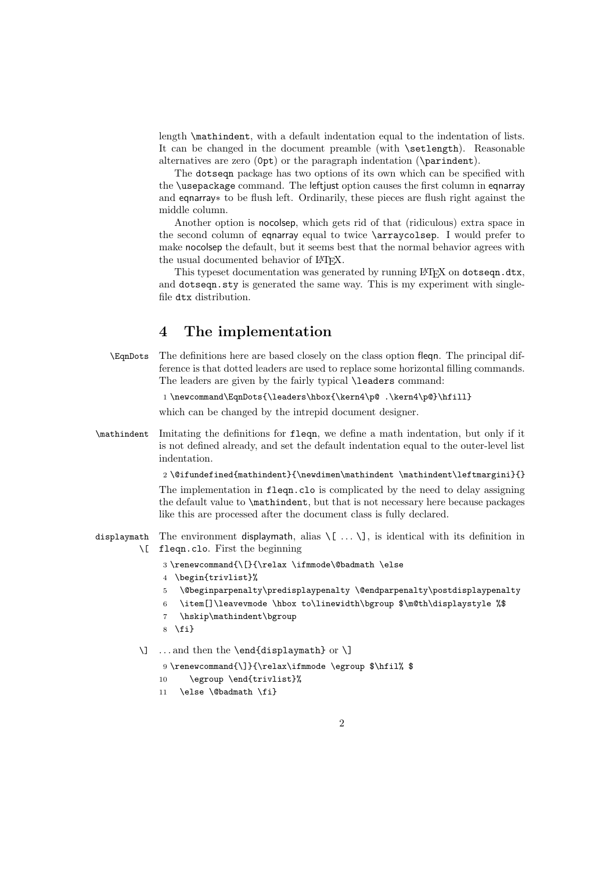length \mathindent, with a default indentation equal to the indentation of lists. It can be changed in the document preamble (with \setlength). Reasonable alternatives are zero (0pt) or the paragraph indentation (\parindent).

The dotseqn package has two options of its own which can be specified with the \usepackage command. The leftjust option causes the first column in eqnarray and eqnarray∗ to be flush left. Ordinarily, these pieces are flush right against the middle column.

Another option is nocolsep, which gets rid of that (ridiculous) extra space in the second column of equal to twice \arraycolsep. I would prefer to make nocolsep the default, but it seems best that the normal behavior agrees with the usual documented behavior of LAT<sub>EX</sub>.

This typeset documentation was generated by running LAT<sub>EX</sub> on dotseqn.dtx, and dotseqn.sty is generated the same way. This is my experiment with singlefile dtx distribution.

### 4 The implementation

\EqnDots The definitions here are based closely on the class option fleqn. The principal difference is that dotted leaders are used to replace some horizontal filling commands. The leaders are given by the fairly typical **\leaders** command:

1 \newcommand\EqnDots{\leaders\hbox{\kern4\p@ .\kern4\p@}\hfill}

which can be changed by the intrepid document designer.

\mathindent Imitating the definitions for fleqn, we define a math indentation, but only if it is not defined already, and set the default indentation equal to the outer-level list indentation.

2 \@ifundefined{mathindent}{\newdimen\mathindent \mathindent\leftmargini}{}

The implementation in fleqn.clo is complicated by the need to delay assigning the default value to \mathindent, but that is not necessary here because packages like this are processed after the document class is fully declared.

- displaymath The environment displaymath, alias \[ . . . \], is identical with its definition in \[ fleqn.clo. First the beginning
	- $3 \verb|\remewcommand{{\|}{|relax \thinspace\;is mode\verb|\dbaddmath|}{else}$
	- 4 \begin{trivlist}%
	- 5 \@beginparpenalty\predisplaypenalty \@endparpenalty\postdisplaypenalty
	- 6 \item[]\leavevmode \hbox to\linewidth\bgroup \$\m@th\displaystyle %\$
	- 7 \hskip\mathindent\bgroup
	- $8 \text{ t}$

```
\] . . . and then the \end{displaymath} or \]
```
9 \renewcommand{\]}{\relax\ifmmode \egroup \$\hfil% \$

- 10 \egroup \end{trivlist}%
- 11 \else \@badmath \fi}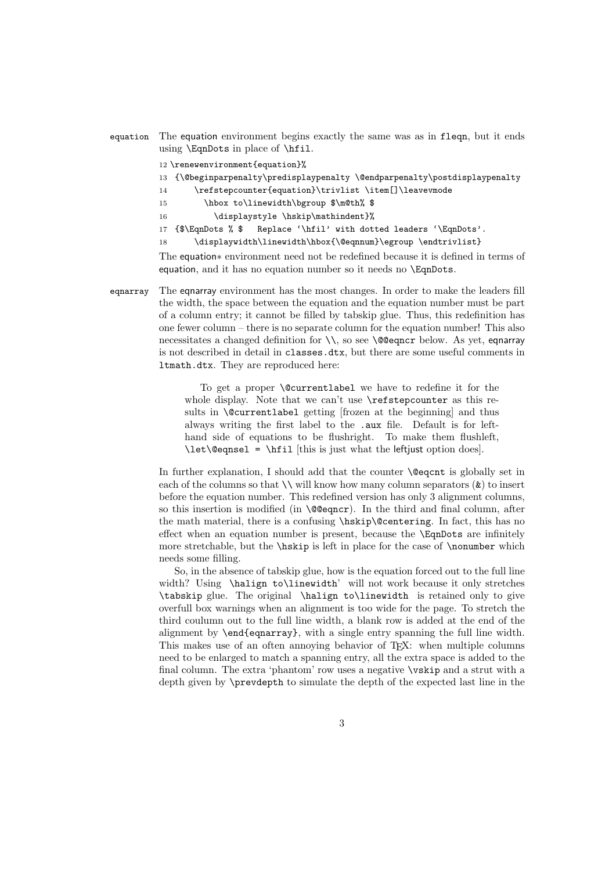- equation The equation environment begins exactly the same was as in fleqn, but it ends using \EqnDots in place of \hfil.
	- 12 \renewenvironment{equation}%
	- 13 {\@beginparpenalty\predisplaypenalty \@endparpenalty\postdisplaypenalty
	- 14 \refstepcounter{equation}\trivlist \item[]\leavevmode
	- 15 \hbox to\linewidth\bgroup \$\m@th% \$
	- 16 \displaystyle \hskip\mathindent}%
	- 17 {\$\EqnDots % \$ Replace '\hfil' with dotted leaders '\EqnDots'.
	- 18 \displaywidth\linewidth\hbox{\@eqnnum}\egroup \endtrivlist}

The equation∗ environment need not be redefined because it is defined in terms of equation, and it has no equation number so it needs no \EqnDots.

eqnarray The eqnarray environment has the most changes. In order to make the leaders fill the width, the space between the equation and the equation number must be part of a column entry; it cannot be filled by tabskip glue. Thus, this redefinition has one fewer column – there is no separate column for the equation number! This also necessitates a changed definition for  $\setminus \setminus$ , so see  $\Diamond$ @eqncr below. As yet, eqnarray is not described in detail in classes.dtx, but there are some useful comments in ltmath.dtx. They are reproduced here:

> To get a proper \@currentlabel we have to redefine it for the whole display. Note that we can't use \refstepcounter as this results in \@currentlabel getting [frozen at the beginning] and thus always writing the first label to the .aux file. Default is for lefthand side of equations to be flushright. To make them flushleft, \let\@eqnsel = \hfil [this is just what the leftjust option does].

In further explanation, I should add that the counter **\@eqcnt** is globally set in each of the columns so that  $\setminus \mathcal{N}$  will know how many column separators  $(\&)$  to insert before the equation number. This redefined version has only 3 alignment columns, so this insertion is modified (in \@@eqncr). In the third and final column, after the math material, there is a confusing \hskip\@centering. In fact, this has no effect when an equation number is present, because the \EqnDots are infinitely more stretchable, but the \hskip is left in place for the case of \nonumber which needs some filling.

So, in the absence of tabskip glue, how is the equation forced out to the full line width? Using \halign to\linewidth' will not work because it only stretches \tabskip glue. The original \halign to\linewidth is retained only to give overfull box warnings when an alignment is too wide for the page. To stretch the third coulumn out to the full line width, a blank row is added at the end of the alignment by \end{eqnarray}, with a single entry spanning the full line width. This makes use of an often annoying behavior of T<sub>E</sub>X: when multiple columns need to be enlarged to match a spanning entry, all the extra space is added to the final column. The extra 'phantom' row uses a negative **\vskip** and a strut with a depth given by \prevdepth to simulate the depth of the expected last line in the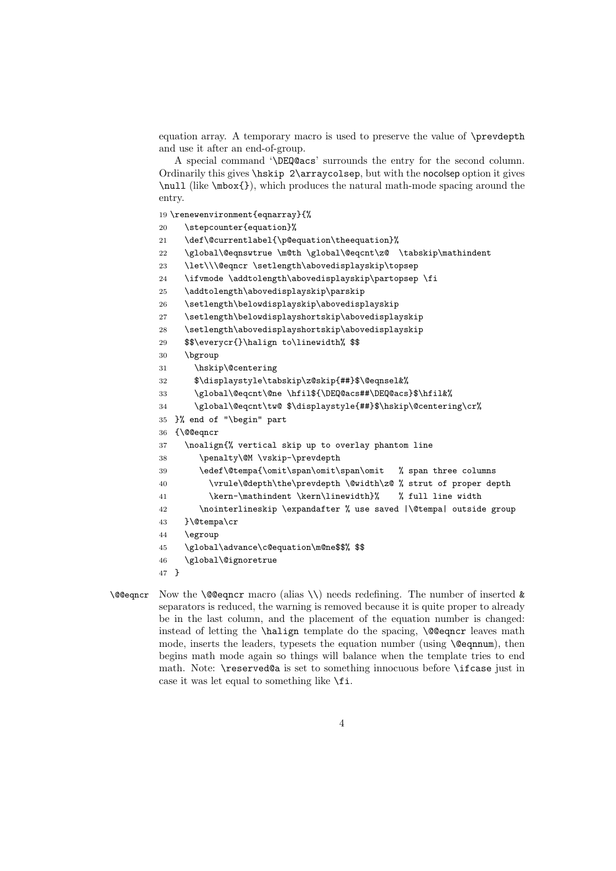equation array. A temporary macro is used to preserve the value of \prevdepth and use it after an end-of-group.

A special command '\DEQ@acs' surrounds the entry for the second column. Ordinarily this gives \hskip 2\arraycolsep, but with the nocolsep option it gives \null (like \mbox{}), which produces the natural math-mode spacing around the entry.

19 \renewenvironment{eqnarray}{%

- 20 \stepcounter{equation}%
- 21 \def\@currentlabel{\p@equation\theequation}%

22 \global\@eqnswtrue \m@th \global\@eqcnt\z@ \tabskip\mathindent

- 23 \let\\\@eqncr \setlength\abovedisplayskip\topsep
- 24 \ifvmode \addtolength\abovedisplayskip\partopsep \fi
- 25 \addtolength\abovedisplayskip\parskip
- 26 \setlength\belowdisplayskip\abovedisplayskip
- 27 \setlength\belowdisplayshortskip\abovedisplayskip
- 28 \setlength\abovedisplayshortskip\abovedisplayskip
- 29 \$\$\everycr{}\halign to\linewidth% \$\$
- 30 \bgroup
- 31 \hskip\@centering
- 32 \$\displaystyle\tabskip\z@skip{##}\$\@eqnsel&%
- 33 \global\@eqcnt\@ne \hfil\${\DEQ@acs##\DEQ@acs}\$\hfil&%
- 34 \global\@eqcnt\tw@ \$\displaystyle{##}\$\hskip\@centering\cr%
- 35 }% end of "\begin" part
- 36 {\@@eqncr
- 37 \noalign{% vertical skip up to overlay phantom line
- 38 \penalty\@M \vskip-\prevdepth
- 39 \edef\@tempa{\omit\span\omit\span\omit % span three columns
- 40 \vrule\@depth\the\prevdepth \@width\z@ % strut of proper depth
- 41 \kern-\mathindent \kern\linewidth}% % full line width

```
42 \nointerlineskip \expandafter % use saved |\@tempa| outside group
```
- 43 }\@tempa\cr
- 44 \egroup
- 45 \global\advance\c@equation\m@ne\$\$% \$\$
- 46 \global\@ignoretrue
- 47 }
- \@@eqncr Now the \@@eqncr macro (alias \\) needs redefining. The number of inserted & separators is reduced, the warning is removed because it is quite proper to already be in the last column, and the placement of the equation number is changed: instead of letting the  $\hbar$  leaves math template do the spacing,  $\text{@eqncr}$  leaves math mode, inserts the leaders, typesets the equation number (using  $\text{deg}_{\text{num}}$ ), then begins math mode again so things will balance when the template tries to end math. Note: \reserved@a is set to something innocuous before \ifcase just in case it was let equal to something like \fi.